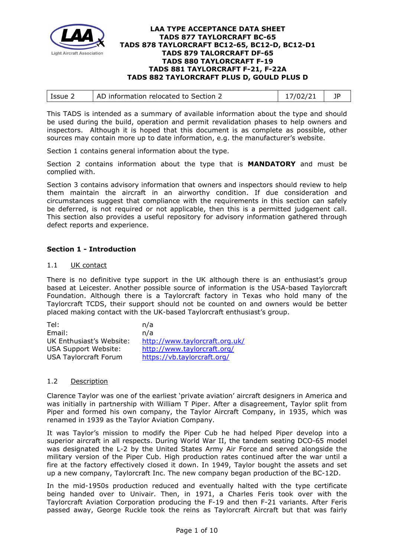

| l Issue 2 | AD information relocated to Section 2 | 17/02/21 |  |
|-----------|---------------------------------------|----------|--|
|           |                                       |          |  |

This TADS is intended as a summary of available information about the type and should be used during the build, operation and permit revalidation phases to help owners and inspectors. Although it is hoped that this document is as complete as possible, other sources may contain more up to date information, e.g. the manufacturer's website.

Section 1 contains general information about the type.

Section 2 contains information about the type that is **MANDATORY** and must be complied with.

Section 3 contains advisory information that owners and inspectors should review to help them maintain the aircraft in an airworthy condition. If due consideration and circumstances suggest that compliance with the requirements in this section can safely be deferred, is not required or not applicable, then this is a permitted judgement call. This section also provides a useful repository for advisory information gathered through defect reports and experience.

## **Section 1 - Introduction**

## 1.1 UK contact

There is no definitive type support in the UK although there is an enthusiast's group based at Leicester. Another possible source of information is the USA-based Taylorcraft Foundation. Although there is a Taylorcraft factory in Texas who hold many of the Taylorcraft TCDS, their support should not be counted on and owners would be better placed making contact with the UK-based Taylorcraft enthusiast's group.

| n/a                            |
|--------------------------------|
| n/a                            |
| http://www.taylorcraft.org.uk/ |
| http://www.taylorcraft.org/    |
| https://vb.taylorcraft.org/    |
|                                |

## 1.2 Description

Clarence Taylor was one of the earliest 'private aviation' aircraft designers in America and was initially in partnership with William T Piper. After a disagreement, Taylor split from Piper and formed his own company, the Taylor Aircraft Company, in 1935, which was renamed in 1939 as the Taylor Aviation Company.

It was Taylor's mission to modify the Piper Cub he had helped Piper develop into a superior aircraft in all respects. During World War II, the tandem seating DCO-65 model was designated the L-2 by the United States Army Air Force and served alongside the military version of the Piper Cub. High production rates continued after the war until a fire at the factory effectively closed it down. In 1949, Taylor bought the assets and set up a new company, Taylorcraft Inc. The new company began production of the BC-12D.

In the mid-1950s production reduced and eventually halted with the type certificate being handed over to Univair. Then, in 1971, a Charles Feris took over with the Taylorcraft Aviation Corporation producing the F-19 and then F-21 variants. After Feris passed away, George Ruckle took the reins as Taylorcraft Aircraft but that was fairly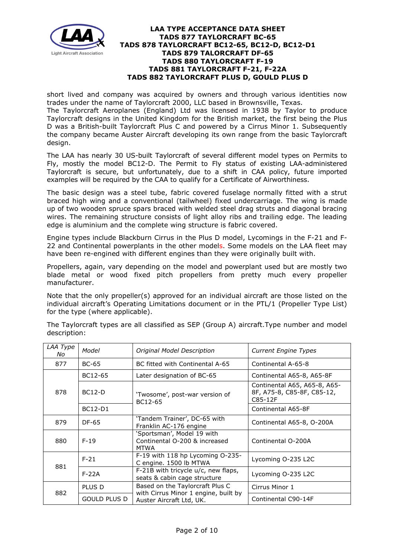

short lived and company was acquired by owners and through various identities now trades under the name of Taylorcraft 2000, LLC based in Brownsville, Texas.

The Taylorcraft Aeroplanes (England) Ltd was licensed in 1938 by Taylor to produce Taylorcraft designs in the United Kingdom for the British market, the first being the Plus D was a British-built Taylorcraft Plus C and powered by a Cirrus Minor 1. Subsequently the company became Auster Aircraft developing its own range from the basic Taylorcraft design.

The LAA has nearly 30 US-built Taylorcraft of several different model types on Permits to Fly, mostly the model BC12-D. The Permit to Fly status of existing LAA-administered Taylorcraft is secure, but unfortunately, due to a shift in CAA policy, future imported examples will be required by the CAA to qualify for a Certificate of Airworthiness.

The basic design was a steel tube, fabric covered fuselage normally fitted with a strut braced high wing and a conventional (tailwheel) fixed undercarriage. The wing is made up of two wooden spruce spars braced with welded steel drag struts and diagonal bracing wires. The remaining structure consists of light alloy ribs and trailing edge. The leading edge is aluminium and the complete wing structure is fabric covered.

Engine types include Blackburn Cirrus in the Plus D model, Lycomings in the F-21 and F-22 and Continental powerplants in the other models. Some models on the LAA fleet may have been re-engined with different engines than they were originally built with.

Propellers, again, vary depending on the model and powerplant used but are mostly two blade metal or wood fixed pitch propellers from pretty much every propeller manufacturer.

Note that the only propeller(s) approved for an individual aircraft are those listed on the individual aircraft's Operating Limitations document or in the PTL/1 (Propeller Type List) for the type (where applicable).

The Taylorcraft types are all classified as SEP (Group A) aircraft.Type number and model description:

| LAA Type<br>No | Model               | Original Model Description                                                 | <b>Current Engine Types</b>                                           |
|----------------|---------------------|----------------------------------------------------------------------------|-----------------------------------------------------------------------|
| 877            | <b>BC-65</b>        | BC fitted with Continental A-65                                            | Continental A-65-8                                                    |
|                | BC12-65             | Later designation of BC-65                                                 | Continental A65-8, A65-8F                                             |
| 878            | <b>BC12-D</b>       | 'Twosome', post-war version of<br>BC12-65                                  | Continental A65, A65-8, A65-<br>8F, A75-8, C85-8F, C85-12,<br>C85-12F |
|                | <b>BC12-D1</b>      |                                                                            | Continental A65-8F                                                    |
| 879            | DF-65               | 'Tandem Trainer', DC-65 with<br>Franklin AC-176 engine                     | Continental A65-8, O-200A                                             |
| 880            | $F-19$              | 'Sportsman', Model 19 with<br>Continental O-200 & increased<br><b>MTWA</b> | Continental O-200A                                                    |
| 881            | $F-21$              | F-19 with 118 hp Lycoming O-235-<br>C engine. 1500 lb MTWA                 | Lycoming O-235 L2C                                                    |
|                | $F-22A$             | F-21B with tricycle u/c, new flaps,<br>seats & cabin cage structure        | Lycoming O-235 L2C                                                    |
| 882            | PLUS D              | Based on the Taylorcraft Plus C                                            | Cirrus Minor 1                                                        |
|                | <b>GOULD PLUS D</b> | with Cirrus Minor 1 engine, built by<br>Auster Aircraft Ltd, UK.           | Continental C90-14F                                                   |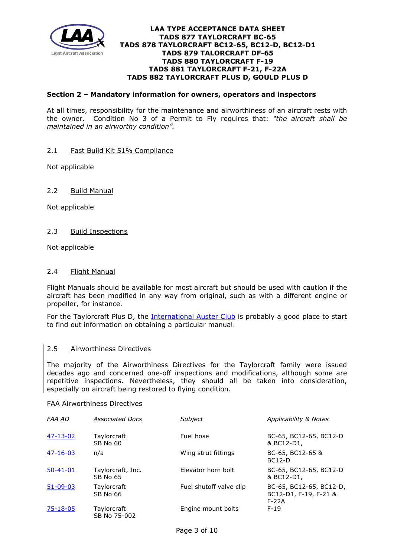

## **Section 2 – Mandatory information for owners, operators and inspectors**

At all times, responsibility for the maintenance and airworthiness of an aircraft rests with the owner. Condition No 3 of a Permit to Fly requires that: *"the aircraft shall be maintained in an airworthy condition".* 

## 2.1 Fast Build Kit 51% Compliance

Not applicable

## 2.2 Build Manual

Not applicable

## 2.3 Build Inspections

Not applicable

## 2.4 Flight Manual

Flight Manuals should be available for most aircraft but should be used with caution if the aircraft has been modified in any way from original, such as with a different engine or propeller, for instance.

For the Taylorcraft Plus D, the [International Auster Club](https://www.austerclub.org/) is probably a good place to start to find out information on obtaining a particular manual.

#### 2.5 Airworthiness Directives

The majority of the Airworthiness Directives for the Taylorcraft family were issued decades ago and concerned one-off inspections and modifications, although some are repetitive inspections. Nevertheless, they should all be taken into consideration, especially on aircraft being restored to flying condition.

#### FAA Airworthiness Directives

| FAA AD         | <b>Associated Docs</b>         | Subject                 | Applicability & Notes                                       |
|----------------|--------------------------------|-------------------------|-------------------------------------------------------------|
| 47-13-02       | Taylorcraft<br><b>SB No 60</b> | Fuel hose               | BC-65, BC12-65, BC12-D<br>& BC12-D1,                        |
| $47 - 16 - 03$ | n/a                            | Wing strut fittings     | BC-65, BC12-65 &<br><b>BC12-D</b>                           |
| $50 - 41 - 01$ | Taylorcraft, Inc.<br>SB No 65  | Elevator horn bolt      | BC-65, BC12-65, BC12-D<br>& BC12-D1,                        |
| $51 - 09 - 03$ | Taylorcraft<br>SB No 66        | Fuel shutoff valve clip | BC-65, BC12-65, BC12-D,<br>BC12-D1, F-19, F-21 &<br>$F-22A$ |
| $75 - 18 - 05$ | Taylorcraft<br>SB No 75-002    | Engine mount bolts      | $F-19$                                                      |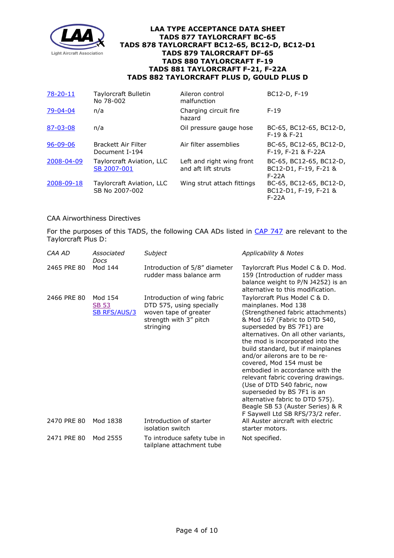

| $78 - 20 - 11$ | Taylorcraft Bulletin<br>No 78-002           | Aileron control<br>malfunction                   | BC12-D, F-19                                                |
|----------------|---------------------------------------------|--------------------------------------------------|-------------------------------------------------------------|
| 79-04-04       | n/a                                         | Charging circuit fire<br>hazard                  | $F-19$                                                      |
| 87-03-08       | n/a                                         | Oil pressure gauge hose                          | BC-65, BC12-65, BC12-D,<br>$F-19$ & $F-21$                  |
| $96 - 09 - 06$ | Brackett Air Filter<br>Document I-194       | Air filter assemblies                            | BC-65, BC12-65, BC12-D,<br>F-19, F-21 & F-22A               |
| 2008-04-09     | Taylorcraft Aviation, LLC<br>SB 2007-001    | Left and right wing front<br>and aft lift struts | BC-65, BC12-65, BC12-D,<br>BC12-D1, F-19, F-21 &<br>$F-22A$ |
| 2008-09-18     | Taylorcraft Aviation, LLC<br>SB No 2007-002 | Wing strut attach fittings                       | BC-65, BC12-65, BC12-D,<br>BC12-D1, F-19, F-21 &<br>$F-22A$ |

## CAA Airworthiness Directives

For the purposes of this TADS, the following CAA ADs listed in [CAP 747](http://publicapps.caa.co.uk/docs/33/CAP747_21JUL17_BM.pdf) are relevant to the Taylorcraft Plus D:

| CAA AD                     | Associated<br>Docs                                         | Subject                                                                                                                                                                | Applicability & Notes                                                                                                                                                                                                                                                                                                                                                                                                                                                                                                                                                                                                                          |
|----------------------------|------------------------------------------------------------|------------------------------------------------------------------------------------------------------------------------------------------------------------------------|------------------------------------------------------------------------------------------------------------------------------------------------------------------------------------------------------------------------------------------------------------------------------------------------------------------------------------------------------------------------------------------------------------------------------------------------------------------------------------------------------------------------------------------------------------------------------------------------------------------------------------------------|
| 2465 PRE 80                | Mod 144                                                    | Introduction of 5/8" diameter<br>rudder mass balance arm                                                                                                               | Taylorcraft Plus Model C & D. Mod.<br>159 (Introduction of rudder mass<br>balance weight to P/N J4252) is an<br>alternative to this modification.                                                                                                                                                                                                                                                                                                                                                                                                                                                                                              |
| 2466 PRE 80<br>2470 PRE 80 | Mod 154<br><b>SB 53</b><br><b>SB RFS/AUS/3</b><br>Mod 1838 | Introduction of wing fabric<br>DTD 575, using specially<br>woven tape of greater<br>strength with 3" pitch<br>stringing<br>Introduction of starter<br>isolation switch | Taylorcraft Plus Model C & D.<br>mainplanes. Mod 138<br>(Strengthened fabric attachments)<br>& Mod 167 (Fabric to DTD 540,<br>superseded by BS 7F1) are<br>alternatives. On all other variants,<br>the mod is incorporated into the<br>build standard, but if mainplanes<br>and/or ailerons are to be re-<br>covered, Mod 154 must be<br>embodied in accordance with the<br>relevant fabric covering drawings.<br>(Use of DTD 540 fabric, now<br>superseded by BS 7F1 is an<br>alternative fabric to DTD 575).<br>Beagle SB 53 (Auster Series) & R<br>F Saywell Ltd SB RFS/73/2 refer.<br>All Auster aircraft with electric<br>starter motors. |
| 2471 PRE 80                | Mod 2555                                                   | To introduce safety tube in<br>tailplane attachment tube                                                                                                               | Not specified.                                                                                                                                                                                                                                                                                                                                                                                                                                                                                                                                                                                                                                 |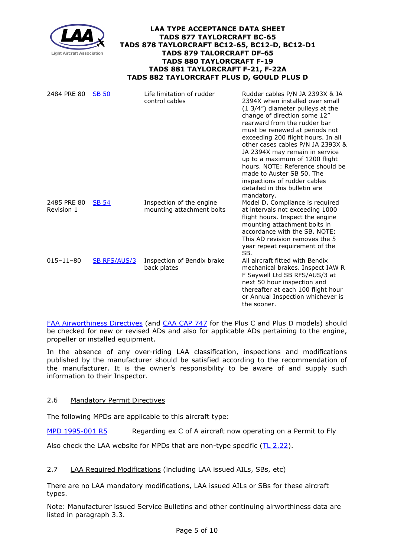

| 2484 PRE 80               | <b>SB 50</b>        | Life limitation of rudder<br>control cables           | Rudder cables P/N JA 2393X & JA<br>2394X when installed over small<br>$(1\,3/4'')$ diameter pulleys at the<br>change of direction some 12"<br>rearward from the rudder bar<br>must be renewed at periods not<br>exceeding 200 flight hours. In all<br>other cases cables P/N JA 2393X &<br>JA 2394X may remain in service<br>up to a maximum of 1200 flight<br>hours. NOTE: Reference should be<br>made to Auster SB 50. The<br>inspections of rudder cables<br>detailed in this bulletin are<br>mandatory. |
|---------------------------|---------------------|-------------------------------------------------------|-------------------------------------------------------------------------------------------------------------------------------------------------------------------------------------------------------------------------------------------------------------------------------------------------------------------------------------------------------------------------------------------------------------------------------------------------------------------------------------------------------------|
| 2485 PRE 80<br>Revision 1 | <b>SB 54</b>        | Inspection of the engine<br>mounting attachment bolts | Model D. Compliance is required<br>at intervals not exceeding 1000<br>flight hours. Inspect the engine<br>mounting attachment bolts in<br>accordance with the SB. NOTE:<br>This AD revision removes the 5<br>year repeat requirement of the<br>SB.                                                                                                                                                                                                                                                          |
| $015 - 11 - 80$           | <b>SB RFS/AUS/3</b> | Inspection of Bendix brake<br>back plates             | All aircraft fitted with Bendix<br>mechanical brakes. Inspect IAW R<br>F Saywell Ltd SB RFS/AUS/3 at<br>next 50 hour inspection and<br>thereafter at each 100 flight hour<br>or Annual Inspection whichever is<br>the sooner.                                                                                                                                                                                                                                                                               |

[FAA Airworthiness Directives](http://rgl.faa.gov/Regulatory_and_Guidance_Library/rgAD.nsf/Frameset?OpenPage) (and [CAA CAP 747](http://www.caa.co.uk/CAP747) for the Plus C and Plus D models) should be checked for new or revised ADs and also for applicable ADs pertaining to the engine, propeller or installed equipment.

In the absence of any over-riding LAA classification, inspections and modifications published by the manufacturer should be satisfied according to the recommendation of the manufacturer. It is the owner's responsibility to be aware of and supply such information to their Inspector.

# 2.6 Mandatory Permit Directives

The following MPDs are applicable to this aircraft type:

[MPD 1995-001 R5](http://www.lightaircraftassociation.co.uk/engineering/TADs/877/MPD1995001R5.pdf) Regarding ex C of A aircraft now operating on a Permit to Fly

Also check the LAA website for MPDs that are non-type specific [\(TL 2.22\)](http://www.lightaircraftassociation.co.uk/engineering/TechnicalLeaflets/Operating%20An%20Aircraft/TL%202.22%20non-type%20specific%20MPDs.pdf).

## 2.7 LAA Required Modifications (including LAA issued AILs, SBs, etc)

There are no LAA mandatory modifications, LAA issued AILs or SBs for these aircraft types.

Note: Manufacturer issued Service Bulletins and other continuing airworthiness data are listed in paragraph 3.3.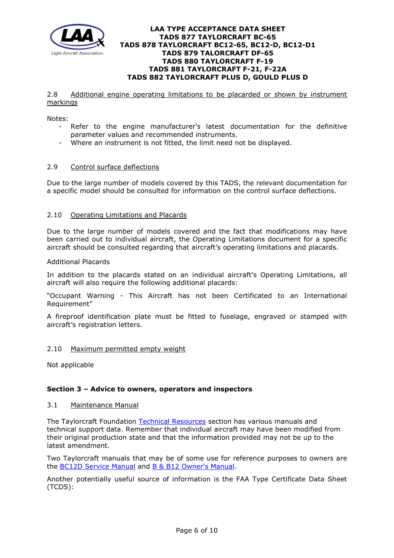

### 2.8 Additional engine operating limitations to be placarded or shown by instrument markings

Notes:

- Refer to the engine manufacturer's latest documentation for the definitive parameter values and recommended instruments.
- Where an instrument is not fitted, the limit need not be displayed.

## 2.9 Control surface deflections

Due to the large number of models covered by this TADS, the relevant documentation for a specific model should be consulted for information on the control surface deflections.

## 2.10 Operating Limitations and Placards

Due to the large number of models covered and the fact that modifications may have been carried out to individual aircraft, the Operating Limitations document for a specific aircraft should be consulted regarding that aircraft's operating limitations and placards.

## Additional Placards

In addition to the placards stated on an individual aircraft's Operating Limitations, all aircraft will also require the following additional placards:

"Occupant Warning - This Aircraft has not been Certificated to an International Requirement"

A fireproof identification plate must be fitted to fuselage, engraved or stamped with aircraft's registration letters.

## 2.10 Maximum permitted empty weight

Not applicable

## **Section 3 – Advice to owners, operators and inspectors**

## 3.1 Maintenance Manual

The Taylorcraft Foundation [Technical Resources](http://www.taylorcraft.org/resources.html#Misc.%20Info) section has various manuals and technical support data. Remember that individual aircraft may have been modified from their original production state and that the information provided may not be up to the latest amendment.

Two Taylorcraft manuals that may be of some use for reference purposes to owners are the [BC12D Service Manual](http://www.lightaircraftassociation.co.uk/engineering/TADs/877/Taylorcraft%20BC12D%20Service%20Manual.pdf) and [B & B12 Owner's Manual.](http://www.lightaircraftassociation.co.uk/engineering/TADs/877/Taylorcraft%20B%20%26%20B12%20Owners%20Manual.pdf)

Another potentially useful source of information is the FAA Type Certificate Data Sheet (TCDS):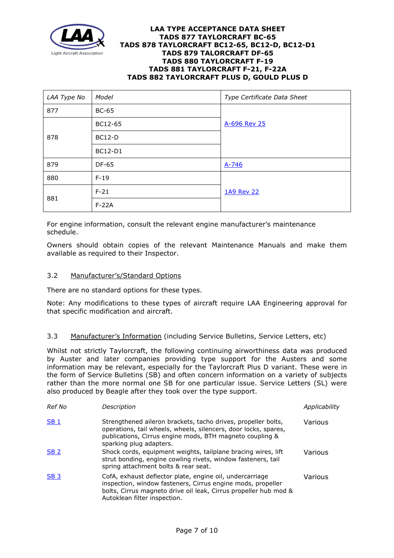

| LAA Type No | Model          | Type Certificate Data Sheet |
|-------------|----------------|-----------------------------|
| 877         | <b>BC-65</b>   |                             |
|             | BC12-65        | A-696 Rev 25                |
| 878         | <b>BC12-D</b>  |                             |
|             | <b>BC12-D1</b> |                             |
| 879         | <b>DF-65</b>   | $A - 746$                   |
| 880         | $F-19$         |                             |
| 881         | $F-21$         | 1A9 Rev 22                  |
|             | $F-22A$        |                             |

For engine information, consult the relevant engine manufacturer's maintenance schedule.

Owners should obtain copies of the relevant Maintenance Manuals and make them available as required to their Inspector.

## 3.2 Manufacturer's/Standard Options

There are no standard options for these types.

Note: Any modifications to these types of aircraft require LAA Engineering approval for that specific modification and aircraft.

## 3.3 Manufacturer's Information (including Service Bulletins, Service Letters, etc)

Whilst not strictly Taylorcraft, the following continuing airworthiness data was produced by Auster and later companies providing type support for the Austers and some information may be relevant, especially for the Taylorcraft Plus D variant. These were in the form of Service Bulletins (SB) and often concern information on a variety of subjects rather than the more normal one SB for one particular issue. Service Letters (SL) were also produced by Beagle after they took over the type support.

| Ref No          | Description                                                                                                                                                                                                                 | Applicability |
|-----------------|-----------------------------------------------------------------------------------------------------------------------------------------------------------------------------------------------------------------------------|---------------|
| SB <sub>1</sub> | Strengthened aileron brackets, tacho drives, propeller bolts,<br>operations, tail wheels, wheels, silencers, door locks, spares,<br>publications, Cirrus engine mods, BTH magneto coupling &<br>sparking plug adapters.     | Various       |
| <b>SB 2</b>     | Shock cords, equipment weights, tailplane bracing wires, lift<br>strut bonding, engine cowling rivets, window fasteners, tail<br>spring attachment bolts & rear seat.                                                       | Various       |
| <b>SB3</b>      | CofA, exhaust deflector plate, engine oil, undercarriage<br>inspection, window fasteners, Cirrus engine mods, propeller<br>bolts, Cirrus magneto drive oil leak, Cirrus propeller hub mod &<br>Autoklean filter inspection. | Various       |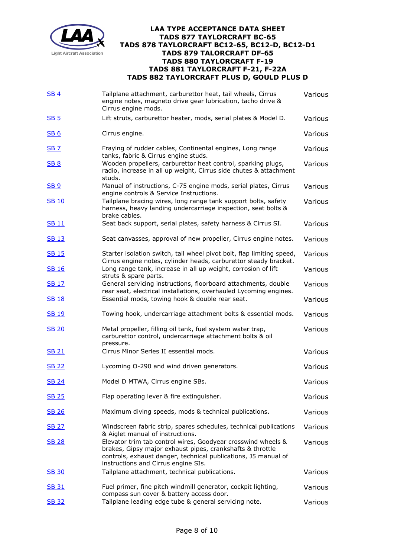

| SB <sub>4</sub> | Tailplane attachment, carburettor heat, tail wheels, Cirrus<br>engine notes, magneto drive gear lubrication, tacho drive &<br>Cirrus engine mods.                                                                                  | Various        |
|-----------------|------------------------------------------------------------------------------------------------------------------------------------------------------------------------------------------------------------------------------------|----------------|
| SB <sub>5</sub> | Lift struts, carburettor heater, mods, serial plates & Model D.                                                                                                                                                                    | Various        |
| <b>SB6</b>      | Cirrus engine.                                                                                                                                                                                                                     | <b>Various</b> |
| <b>SB 7</b>     | Fraying of rudder cables, Continental engines, Long range<br>tanks, fabric & Cirrus engine studs.                                                                                                                                  | Various        |
| <b>SB 8</b>     | Wooden propellers, carburettor heat control, sparking plugs,<br>radio, increase in all up weight, Cirrus side chutes & attachment<br>studs.                                                                                        | Various        |
| <u>SB 9</u>     | Manual of instructions, C-75 engine mods, serial plates, Cirrus<br>engine controls & Service Instructions.                                                                                                                         | Various        |
| <b>SB 10</b>    | Tailplane bracing wires, long range tank support bolts, safety<br>harness, heavy landing undercarriage inspection, seat bolts &<br>brake cables.                                                                                   | Various        |
| <u>SB 11</u>    | Seat back support, serial plates, safety harness & Cirrus SI.                                                                                                                                                                      | Various        |
| <b>SB13</b>     | Seat canvasses, approval of new propeller, Cirrus engine notes.                                                                                                                                                                    | Various        |
| <b>SB 15</b>    | Starter isolation switch, tail wheel pivot bolt, flap limiting speed,<br>Cirrus engine notes, cylinder heads, carburettor steady bracket.                                                                                          | <b>Various</b> |
| <b>SB 16</b>    | Long range tank, increase in all up weight, corrosion of lift<br>struts & spare parts.                                                                                                                                             | Various        |
| <u>SB 17</u>    | General servicing instructions, floorboard attachments, double<br>rear seat, electrical installations, overhauled Lycoming engines.                                                                                                | Various        |
| SB 18           | Essential mods, towing hook & double rear seat.                                                                                                                                                                                    | Various        |
| <u>SB 19</u>    | Towing hook, undercarriage attachment bolts & essential mods.                                                                                                                                                                      | Various        |
| <u>SB 20</u>    | Metal propeller, filling oil tank, fuel system water trap,<br>carburettor control, undercarriage attachment bolts & oil<br>pressure.                                                                                               | Various        |
| <b>SB 21</b>    | Cirrus Minor Series II essential mods.                                                                                                                                                                                             | Various        |
| <u>SB 22</u>    | Lycoming O-290 and wind driven generators.                                                                                                                                                                                         | Various        |
| <b>SB 24</b>    | Model D MTWA, Cirrus engine SBs.                                                                                                                                                                                                   | Various        |
| <b>SB 25</b>    | Flap operating lever & fire extinguisher.                                                                                                                                                                                          | Various        |
| <u>SB 26</u>    | Maximum diving speeds, mods & technical publications.                                                                                                                                                                              | Various        |
| <b>SB 27</b>    | Windscreen fabric strip, spares schedules, technical publications<br>& Aiglet manual of instructions.                                                                                                                              | Various        |
| <b>SB 28</b>    | Elevator trim tab control wires, Goodyear crosswind wheels &<br>brakes, Gipsy major exhaust pipes, crankshafts & throttle<br>controls, exhaust danger, technical publications, J5 manual of<br>instructions and Cirrus engine SIs. | Various        |
| <b>SB 30</b>    | Tailplane attachment, technical publications.                                                                                                                                                                                      | Various        |
| SB 31           | Fuel primer, fine pitch windmill generator, cockpit lighting,<br>compass sun cover & battery access door.                                                                                                                          | Various        |
| <u>SB 32</u>    | Tailplane leading edge tube & general servicing note.                                                                                                                                                                              | Various        |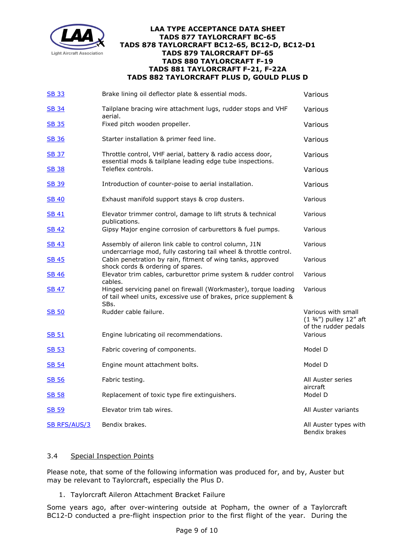

| <b>SB 33</b>        | Brake lining oil deflector plate & essential mods.                                                                                          | Various                                                               |
|---------------------|---------------------------------------------------------------------------------------------------------------------------------------------|-----------------------------------------------------------------------|
| <u>SB 34</u>        | Tailplane bracing wire attachment lugs, rudder stops and VHF<br>aerial.                                                                     | Various                                                               |
| SB 35               | Fixed pitch wooden propeller.                                                                                                               | Various                                                               |
| <b>SB 36</b>        | Starter installation & primer feed line.                                                                                                    | Various                                                               |
| <u>SB 37</u>        | Throttle control, VHF aerial, battery & radio access door,<br>essential mods & tailplane leading edge tube inspections.                     | Various                                                               |
| <u>SB 38</u>        | Teleflex controls.                                                                                                                          | Various                                                               |
| <u>SB 39</u>        | Introduction of counter-poise to aerial installation.                                                                                       | Various                                                               |
| <u>SB 40</u>        | Exhaust manifold support stays & crop dusters.                                                                                              | Various                                                               |
| <u>SB 41</u>        | Elevator trimmer control, damage to lift struts & technical<br>publications.                                                                | Various                                                               |
| <u>SB 42</u>        | Gipsy Major engine corrosion of carburettors & fuel pumps.                                                                                  | Various                                                               |
| SB 43               | Assembly of aileron link cable to control column, J1N<br>undercarriage mod, fully castoring tail wheel & throttle control.                  | Various                                                               |
| <u>SB 45</u>        | Cabin penetration by rain, fitment of wing tanks, approved<br>shock cords & ordering of spares.                                             | Various                                                               |
| <u>SB 46</u>        | Elevator trim cables, carburettor prime system & rudder control<br>cables.                                                                  | Various                                                               |
| <u>SB 47</u>        | Hinged servicing panel on firewall (Workmaster), torque loading<br>of tail wheel units, excessive use of brakes, price supplement &<br>SBs. | Various                                                               |
| <u>SB 50</u>        | Rudder cable failure.                                                                                                                       | Various with small<br>(1 3/4") pulley 12" aft<br>of the rudder pedals |
| <u>SB 51</u>        | Engine lubricating oil recommendations.                                                                                                     | Various                                                               |
| <b>SB 53</b>        | Fabric covering of components.                                                                                                              | Model D                                                               |
| SB 54               | Engine mount attachment bolts.                                                                                                              | Model D                                                               |
| <b>SB 56</b>        | Fabric testing.                                                                                                                             | All Auster series<br>aircraft                                         |
| SB 58               | Replacement of toxic type fire extinguishers.                                                                                               | Model D                                                               |
| <u>SB 59</u>        | Elevator trim tab wires.                                                                                                                    | All Auster variants                                                   |
| <b>SB RFS/AUS/3</b> | Bendix brakes.                                                                                                                              | All Auster types with<br>Bendix brakes                                |

## 3.4 Special Inspection Points

Please note, that some of the following information was produced for, and by, Auster but may be relevant to Taylorcraft, especially the Plus D.

1. Taylorcraft Aileron Attachment Bracket Failure

Some years ago, after over-wintering outside at Popham, the owner of a Taylorcraft BC12-D conducted a pre-flight inspection prior to the first flight of the year. During the